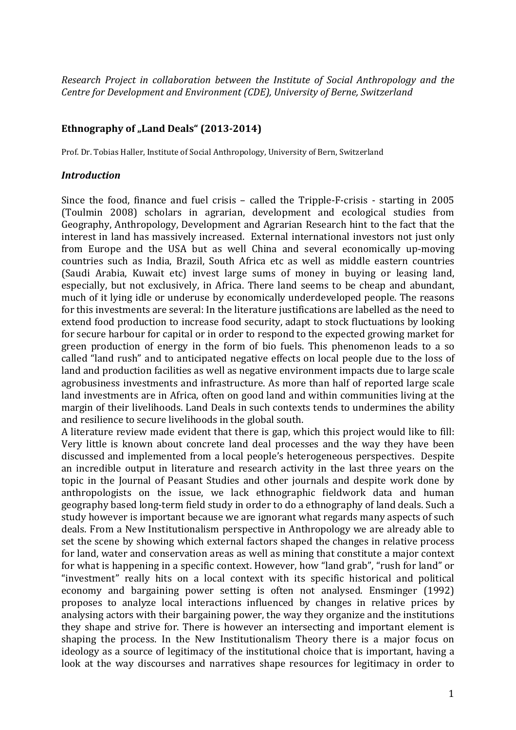*Research Project in collaboration between the Institute of Social Anthropology and the Centre for Development and Environment (CDE), University of Berne, Switzerland* 

## Ethnography of "Land Deals" (2013-2014)

Prof. Dr. Tobias Haller, Institute of Social Anthropology, University of Bern, Switzerland

## *Introduction*

Since the food, finance and fuel crisis – called the Tripple-F-crisis - starting in 2005 (Toulmin 2008) scholars in agrarian, development and ecological studies from Geography, Anthropology, Development and Agrarian Research hint to the fact that the interest in land has massively increased. External international investors not just only from Europe and the USA but as well China and several economically up-moving countries such as India, Brazil, South Africa etc as well as middle eastern countries (Saudi Arabia, Kuwait etc) invest large sums of money in buying or leasing land, especially, but not exclusively, in Africa. There land seems to be cheap and abundant, much of it lying idle or underuse by economically underdeveloped people. The reasons for this investments are several: In the literature justifications are labelled as the need to extend food production to increase food security, adapt to stock fluctuations by looking for secure harbour for capital or in order to respond to the expected growing market for green production of energy in the form of bio fuels. This phenomenon leads to a so called "land rush" and to anticipated negative effects on local people due to the loss of land and production facilities as well as negative environment impacts due to large scale agrobusiness investments and infrastructure. As more than half of reported large scale land investments are in Africa, often on good land and within communities living at the margin of their livelihoods. Land Deals in such contexts tends to undermines the ability and resilience to secure livelihoods in the global south.

A literature review made evident that there is gap, which this project would like to fill: Very little is known about concrete land deal processes and the way they have been discussed and implemented from a local people's heterogeneous perspectives. Despite an incredible output in literature and research activity in the last three years on the topic in the Journal of Peasant Studies and other journals and despite work done by anthropologists on the issue, we lack ethnographic fieldwork data and human geography based long-term field study in order to do a ethnography of land deals. Such a study however is important because we are ignorant what regards many aspects of such deals. From a New Institutionalism perspective in Anthropology we are already able to set the scene by showing which external factors shaped the changes in relative process for land, water and conservation areas as well as mining that constitute a major context for what is happening in a specific context. However, how "land grab", "rush for land" or "investment" really hits on a local context with its specific historical and political economy and bargaining power setting is often not analysed. Ensminger (1992) proposes to analyze local interactions influenced by changes in relative prices by analysing actors with their bargaining power, the way they organize and the institutions they shape and strive for. There is however an intersecting and important element is shaping the process. In the New Institutionalism Theory there is a major focus on ideology as a source of legitimacy of the institutional choice that is important, having a look at the way discourses and narratives shape resources for legitimacy in order to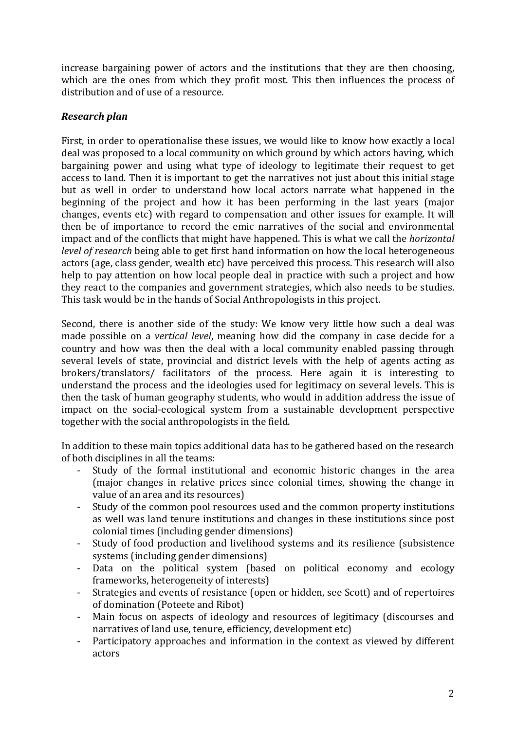increase bargaining power of actors and the institutions that they are then choosing, which are the ones from which they profit most. This then influences the process of distribution and of use of a resource.

## *Research!plan*

First, in order to operationalise these issues, we would like to know how exactly a local deal was proposed to a local community on which ground by which actors having, which bargaining power and using what type of ideology to legitimate their request to get access to land. Then it is important to get the narratives not just about this initial stage but as well in order to understand how local actors narrate what happened in the beginning of the project and how it has been performing in the last years (major changes, events etc) with regard to compensation and other issues for example. It will then be of importance to record the emic narratives of the social and environmental impact and of the conflicts that might have happened. This is what we call the *horizontal level of research* being able to get first hand information on how the local heterogeneous actors (age, class gender, wealth etc) have perceived this process. This research will also help to pay attention on how local people deal in practice with such a project and how they react to the companies and government strategies, which also needs to be studies. This task would be in the hands of Social Anthropologists in this project.

Second, there is another side of the study: We know very little how such a deal was made possible on a *vertical level*, meaning how did the company in case decide for a country and how was then the deal with a local community enabled passing through several levels of state, provincial and district levels with the help of agents acting as brokers/translators/ facilitators of the process. Here again it is interesting to understand the process and the ideologies used for legitimacy on several levels. This is then the task of human geography students, who would in addition address the issue of impact on the social-ecological system from a sustainable development perspective together with the social anthropologists in the field.

In addition to these main topics additional data has to be gathered based on the research of both disciplines in all the teams:

- Study of the formal institutional and economic historic changes in the area (major changes in relative prices since colonial times, showing the change in value of an area and its resources)
- Study of the common pool resources used and the common property institutions as well was land tenure institutions and changes in these institutions since post colonial times (including gender dimensions)
- Study of food production and livelihood systems and its resilience (subsistence systems (including gender dimensions)
- Data on the political system (based on political economy and ecology frameworks, heterogeneity of interests)
- Strategies and events of resistance (open or hidden, see Scott) and of repertoires of domination (Poteete and Ribot)
- Main focus on aspects of ideology and resources of legitimacy (discourses and narratives of land use, tenure, efficiency, development etc)
- Participatory approaches and information in the context as viewed by different actors